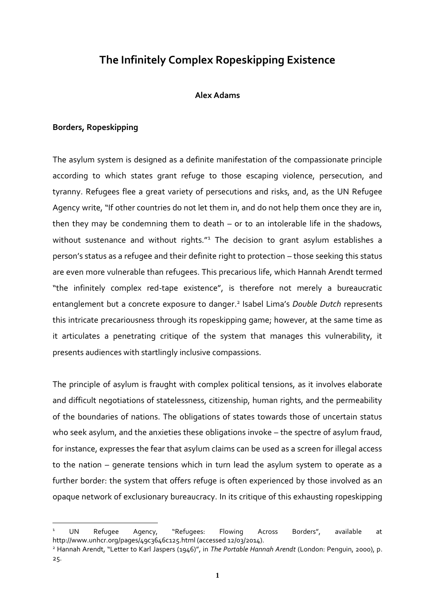# **The Infinitely Complex Ropeskipping Existence**

### **Alex Adams**

## **Borders, Ropeskipping**

1

The asylum system is designed as a definite manifestation of the compassionate principle according to which states grant refuge to those escaping violence, persecution, and tyranny. Refugees flee a great variety of persecutions and risks, and, as the UN Refugee Agency write, "If other countries do not let them in, and do not help them once they are in, then they may be condemning them to death – or to an intolerable life in the shadows, without sustenance and without rights."<sup>1</sup> The decision to grant asylum establishes a person's status as a refugee and their definite right to protection – those seeking this status are even more vulnerable than refugees. This precarious life, which Hannah Arendt termed "the infinitely complex red-tape existence", is therefore not merely a bureaucratic entanglement but a concrete exposure to danger. 2 Isabel Lima's *Double Dutch* represents this intricate precariousness through its ropeskipping game; however, at the same time as it articulates a penetrating critique of the system that manages this vulnerability, it presents audiences with startlingly inclusive compassions.

The principle of asylum is fraught with complex political tensions, as it involves elaborate and difficult negotiations of statelessness, citizenship, human rights, and the permeability of the boundaries of nations. The obligations of states towards those of uncertain status who seek asylum, and the anxieties these obligations invoke – the spectre of asylum fraud, for instance, expresses the fear that asylum claims can be used as a screen for illegal access to the nation – generate tensions which in turn lead the asylum system to operate as a further border: the system that offers refuge is often experienced by those involved as an opaque network of exclusionary bureaucracy. In its critique of this exhausting ropeskipping

<sup>&</sup>lt;sup>1</sup> UN Refugee Agency, "Refugees: Flowing Across Borders", available at http://www.unhcr.org/pages/49c3646c125.html (accessed 12/03/2014).

<sup>2</sup> Hannah Arendt, "Letter to Karl Jaspers (1946)", in *The Portable Hannah Arendt* (London: Penguin, 2000), p. 25.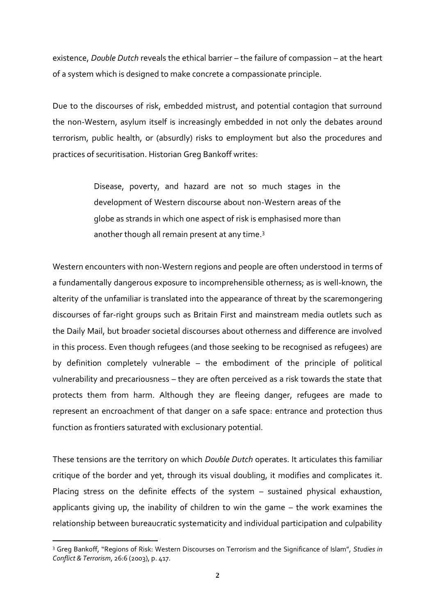existence, *Double Dutch* reveals the ethical barrier – the failure of compassion – at the heart of a system which is designed to make concrete a compassionate principle.

Due to the discourses of risk, embedded mistrust, and potential contagion that surround the non-Western, asylum itself is increasingly embedded in not only the debates around terrorism, public health, or (absurdly) risks to employment but also the procedures and practices of securitisation. Historian Greg Bankoff writes:

> Disease, poverty, and hazard are not so much stages in the development of Western discourse about non-Western areas of the globe as strands in which one aspect of risk is emphasised more than another though all remain present at any time.<sup>3</sup>

Western encounters with non-Western regions and people are often understood in terms of a fundamentally dangerous exposure to incomprehensible otherness; as is well-known, the alterity of the unfamiliar is translated into the appearance of threat by the scaremongering discourses of far-right groups such as Britain First and mainstream media outlets such as the Daily Mail, but broader societal discourses about otherness and difference are involved in this process. Even though refugees (and those seeking to be recognised as refugees) are by definition completely vulnerable – the embodiment of the principle of political vulnerability and precariousness – they are often perceived as a risk towards the state that protects them from harm. Although they are fleeing danger, refugees are made to represent an encroachment of that danger on a safe space: entrance and protection thus function as frontiers saturated with exclusionary potential.

These tensions are the territory on which *Double Dutch* operates. It articulates this familiar critique of the border and yet, through its visual doubling, it modifies and complicates it. Placing stress on the definite effects of the system – sustained physical exhaustion, applicants giving up, the inability of children to win the game – the work examines the relationship between bureaucratic systematicity and individual participation and culpability

<sup>3</sup> Greg Bankoff, "Regions of Risk: Western Discourses on Terrorism and the Significance of Islam", *Studies in Conflict & Terrorism*, 26:6 (2003), p. 417.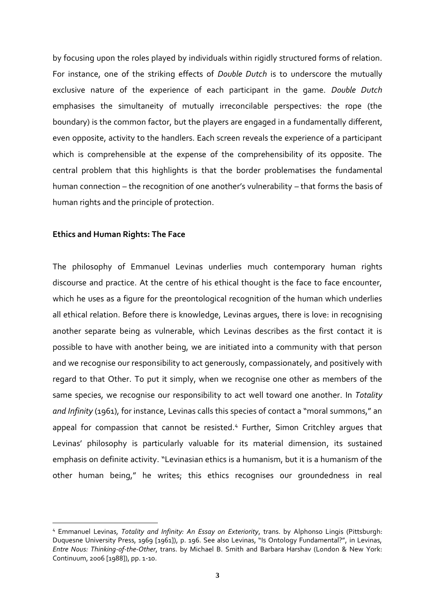by focusing upon the roles played by individuals within rigidly structured forms of relation. For instance, one of the striking effects of *Double Dutch* is to underscore the mutually exclusive nature of the experience of each participant in the game. *Double Dutch*  emphasises the simultaneity of mutually irreconcilable perspectives: the rope (the boundary) is the common factor, but the players are engaged in a fundamentally different, even opposite, activity to the handlers. Each screen reveals the experience of a participant which is comprehensible at the expense of the comprehensibility of its opposite. The central problem that this highlights is that the border problematises the fundamental human connection – the recognition of one another's vulnerability – that forms the basis of human rights and the principle of protection.

#### **Ethics and Human Rights: The Face**

1

The philosophy of Emmanuel Levinas underlies much contemporary human rights discourse and practice. At the centre of his ethical thought is the face to face encounter, which he uses as a figure for the preontological recognition of the human which underlies all ethical relation. Before there is knowledge, Levinas argues, there is love: in recognising another separate being as vulnerable, which Levinas describes as the first contact it is possible to have with another being, we are initiated into a community with that person and we recognise our responsibility to act generously, compassionately, and positively with regard to that Other. To put it simply, when we recognise one other as members of the same species, we recognise our responsibility to act well toward one another. In *Totality and Infinity* (1961), for instance, Levinas calls this species of contact a "moral summons," an appeal for compassion that cannot be resisted.<sup>4</sup> Further, Simon Critchley arques that Levinas' philosophy is particularly valuable for its material dimension, its sustained emphasis on definite activity. "Levinasian ethics is a humanism, but it is a humanism of the other human being," he writes; this ethics recognises our groundedness in real

<sup>4</sup> Emmanuel Levinas, *Totality and Infinity: An Essay on Exteriority*, trans. by Alphonso Lingis (Pittsburgh: Duquesne University Press, 1969 [1961]), p. 196. See also Levinas, "Is Ontology Fundamental?", in Levinas, *Entre Nous: Thinking-of-the-Other*, trans. by Michael B. Smith and Barbara Harshav (London & New York: Continuum, 2006 [1988]), pp. 1-10.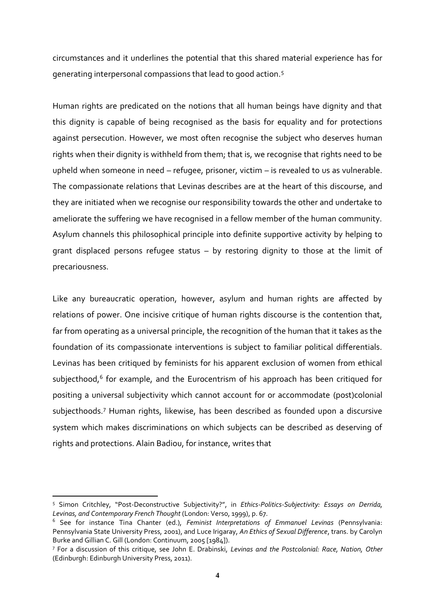circumstances and it underlines the potential that this shared material experience has for generating interpersonal compassions that lead to good action.<sup>5</sup>

Human rights are predicated on the notions that all human beings have dignity and that this dignity is capable of being recognised as the basis for equality and for protections against persecution. However, we most often recognise the subject who deserves human rights when their dignity is withheld from them; that is, we recognise that rights need to be upheld when someone in need – refugee, prisoner, victim – is revealed to us as vulnerable. The compassionate relations that Levinas describes are at the heart of this discourse, and they are initiated when we recognise our responsibility towards the other and undertake to ameliorate the suffering we have recognised in a fellow member of the human community. Asylum channels this philosophical principle into definite supportive activity by helping to grant displaced persons refugee status – by restoring dignity to those at the limit of precariousness.

Like any bureaucratic operation, however, asylum and human rights are affected by relations of power. One incisive critique of human rights discourse is the contention that, far from operating as a universal principle, the recognition of the human that it takes as the foundation of its compassionate interventions is subject to familiar political differentials. Levinas has been critiqued by feminists for his apparent exclusion of women from ethical subjecthood,<sup>6</sup> for example, and the Eurocentrism of his approach has been critiqued for positing a universal subjectivity which cannot account for or accommodate (post)colonial subjecthoods.<sup>7</sup> Human rights, likewise, has been described as founded upon a discursive system which makes discriminations on which subjects can be described as deserving of rights and protections. Alain Badiou, for instance, writes that

<sup>5</sup> Simon Critchley, "Post-Deconstructive Subjectivity?", in *Ethics-Politics-Subjectivity: Essays on Derrida, Levinas, and Contemporary French Thought* (London: Verso, 1999), p. 67.

<sup>6</sup> See for instance Tina Chanter (ed.), *Feminist Interpretations of Emmanuel Levinas* (Pennsylvania: Pennsylvania State University Press, 2001), and Luce Irigaray, *An Ethics of Sexual Difference*, trans. by Carolyn Burke and Gillian C. Gill (London: Continuum, 2005 [1984]).

<sup>7</sup> For a discussion of this critique, see John E. Drabinski, *Levinas and the Postcolonial: Race, Nation, Other* (Edinburgh: Edinburgh University Press, 2011).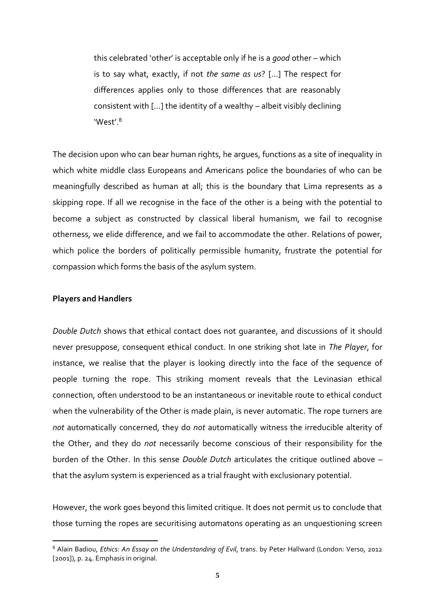this celebrated 'other' is acceptable only if he is a *good* other – which is to say what, exactly, if not *the same as us*? […] The respect for differences applies only to those differences that are reasonably consistent with […] the identity of a wealthy – albeit visibly declining 'West'.<sup>8</sup>

The decision upon who can bear human rights, he argues, functions as a site of inequality in which white middle class Europeans and Americans police the boundaries of who can be meaningfully described as human at all; this is the boundary that Lima represents as a skipping rope. If all we recognise in the face of the other is a being with the potential to become a subject as constructed by classical liberal humanism, we fail to recognise otherness, we elide difference, and we fail to accommodate the other. Relations of power, which police the borders of politically permissible humanity, frustrate the potential for compassion which forms the basis of the asylum system.

#### **Players and Handlers**

1

*Double Dutch* shows that ethical contact does not guarantee, and discussions of it should never presuppose, consequent ethical conduct. In one striking shot late in *The Player*, for instance, we realise that the player is looking directly into the face of the sequence of people turning the rope. This striking moment reveals that the Levinasian ethical connection, often understood to be an instantaneous or inevitable route to ethical conduct when the vulnerability of the Other is made plain, is never automatic. The rope turners are *not* automatically concerned, they do *not* automatically witness the irreducible alterity of the Other, and they do *not* necessarily become conscious of their responsibility for the burden of the Other. In this sense *Double Dutch* articulates the critique outlined above – that the asylum system is experienced as a trial fraught with exclusionary potential.

However, the work goes beyond this limited critique. It does not permit us to conclude that those turning the ropes are securitising automatons operating as an unquestioning screen

<sup>8</sup> Alain Badiou, *Ethics: An Essay on the Understanding of Evil*, trans. by Peter Hallward (London: Verso, 2012 [2001]), p. 24. Emphasis in original.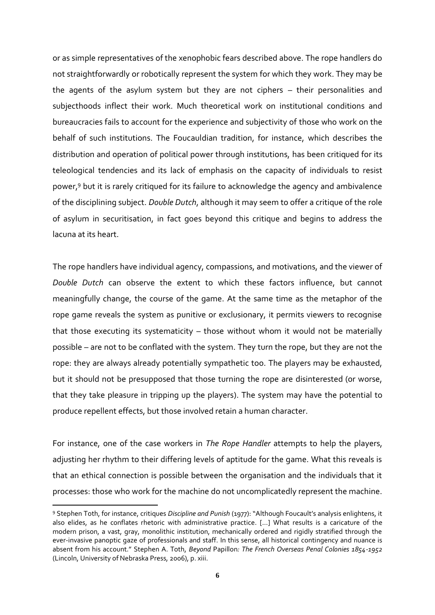or as simple representatives of the xenophobic fears described above. The rope handlers do not straightforwardly or robotically represent the system for which they work. They may be the agents of the asylum system but they are not ciphers – their personalities and subjecthoods inflect their work. Much theoretical work on institutional conditions and bureaucracies fails to account for the experience and subjectivity of those who work on the behalf of such institutions. The Foucauldian tradition, for instance, which describes the distribution and operation of political power through institutions, has been critiqued for its teleological tendencies and its lack of emphasis on the capacity of individuals to resist power,<sup>9</sup> but it is rarely critiqued for its failure to acknowledge the agency and ambivalence of the disciplining subject. *Double Dutch*, although it may seem to offer a critique of the role of asylum in securitisation, in fact goes beyond this critique and begins to address the lacuna at its heart.

The rope handlers have individual agency, compassions, and motivations, and the viewer of *Double Dutch* can observe the extent to which these factors influence, but cannot meaningfully change, the course of the game. At the same time as the metaphor of the rope game reveals the system as punitive or exclusionary, it permits viewers to recognise that those executing its systematicity – those without whom it would not be materially possible – are not to be conflated with the system. They turn the rope, but they are not the rope: they are always already potentially sympathetic too. The players may be exhausted, but it should not be presupposed that those turning the rope are disinterested (or worse, that they take pleasure in tripping up the players). The system may have the potential to produce repellent effects, but those involved retain a human character.

For instance, one of the case workers in *The Rope Handler* attempts to help the players, adjusting her rhythm to their differing levels of aptitude for the game. What this reveals is that an ethical connection is possible between the organisation and the individuals that it processes: those who work for the machine do not uncomplicatedly represent the machine.

<sup>9</sup> Stephen Toth, for instance, critiques *Discipline and Punish* (1977): "Although Foucault's analysis enlightens, it also elides, as he conflates rhetoric with administrative practice. […] What results is a caricature of the modern prison, a vast, gray, monolithic institution, mechanically ordered and rigidly stratified through the ever-invasive panoptic gaze of professionals and staff. In this sense, all historical contingency and nuance is absent from his account." Stephen A. Toth, *Beyond* Papillon*: The French Overseas Penal Colonies 1854-1952* (Lincoln, University of Nebraska Press, 2006), p. xiii.